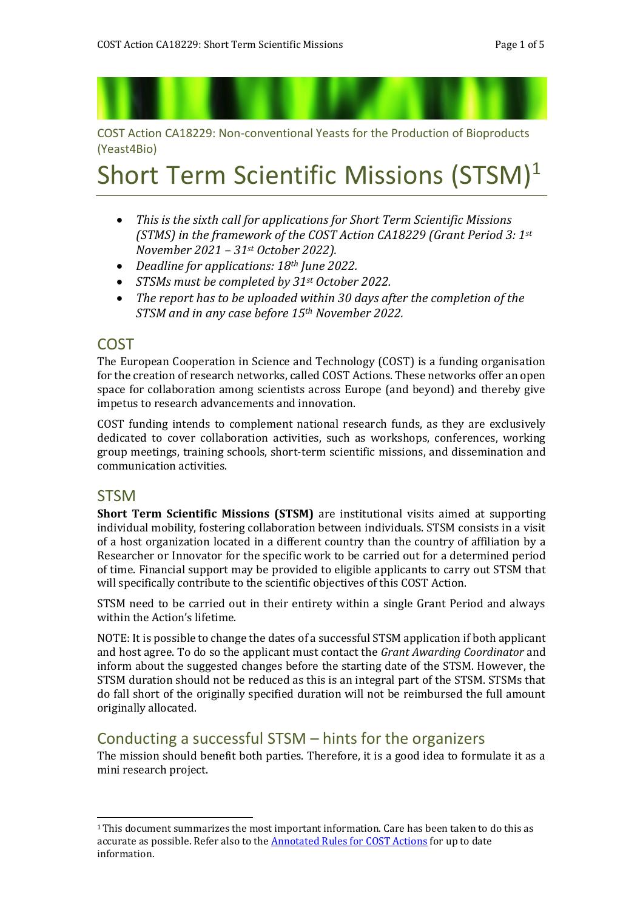COST Action CA18229: Non-conventional Yeasts for the Production of Bioproducts (Yeast4Bio)

# Short Term Scientific Missions (STSM)<sup>1</sup>

- *This is the sixth call for applications for Short Term Scientific Missions (STMS) in the framework of the COST Action CA18229 (Grant Period 3: 1st November 2021 – 31st October 2022).*
- *Deadline for applications: 18th June 2022.*
- *STSMs must be completed by 31st October 2022.*
- *The report has to be uploaded within 30 days after the completion of the STSM and in any case before 15th November 2022.*

### COST

The European Cooperation in Science and Technology (COST) is a funding organisation for the creation of research networks, called COST Actions. These networks offer an open space for collaboration among scientists across Europe (and beyond) and thereby give impetus to research advancements and innovation.

COST funding intends to complement national research funds, as they are exclusively dedicated to cover collaboration activities, such as workshops, conferences, working group meetings, training schools, short-term scientific missions, and dissemination and communication activities.

#### **STSM**

**Short Term Scientific Missions (STSM)** are institutional visits aimed at supporting individual mobility, fostering collaboration between individuals. STSM consists in a visit of a host organization located in a different country than the country of affiliation by a Researcher or Innovator for the specific work to be carried out for a determined period of time. Financial support may be provided to eligible applicants to carry out STSM that will specifically contribute to the scientific objectives of this COST Action.

STSM need to be carried out in their entirety within a single Grant Period and always within the Action's lifetime.

NOTE: It is possible to change the dates of a successful STSM application if both applicant and host agree. To do so the applicant must contact the *Grant Awarding Coordinator* and inform about the suggested changes before the starting date of the STSM. However, the STSM duration should not be reduced as this is an integral part of the STSM. STSMs that do fall short of the originally specified duration will not be reimbursed the full amount originally allocated.

## Conducting a successful STSM – hints for the organizers

The mission should benefit both parties. Therefore, it is a good idea to formulate it as a mini research project.

<sup>1</sup>This document summarizes the most important information. Care has been taken to do this as accurate as possible. Refer also to the **[Annotated Rules for COST Actions](https://www.cost.eu/uploads/2022/02/COST-094-21-Annotated-Rules-for-COST-Actions-Level-C-2022-02-15.pdf)** for up to date information.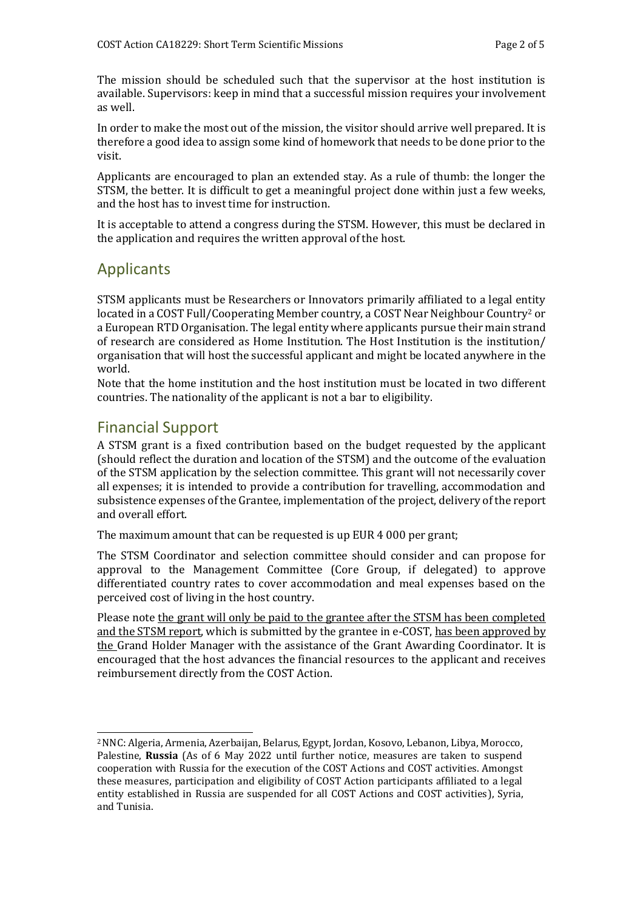The mission should be scheduled such that the supervisor at the host institution is available. Supervisors: keep in mind that a successful mission requires your involvement as well.

In order to make the most out of the mission, the visitor should arrive well prepared. It is therefore a good idea to assign some kind of homework that needs to be done prior to the visit.

Applicants are encouraged to plan an extended stay. As a rule of thumb: the longer the STSM, the better. It is difficult to get a meaningful project done within just a few weeks, and the host has to invest time for instruction.

It is acceptable to attend a congress during the STSM. However, this must be declared in the application and requires the written approval of the host.

## Applicants

STSM applicants must be Researchers or Innovators primarily affiliated to a legal entity located in a COST Full/Cooperating Member country, a COST Near Neighbour Country<sup>2</sup> or a European RTD Organisation. The legal entity where applicants pursue their main strand of research are considered as Home Institution. The Host Institution is the institution/ organisation that will host the successful applicant and might be located anywhere in the world.

Note that the home institution and the host institution must be located in two different countries. The nationality of the applicant is not a bar to eligibility.

## Financial Support

A STSM grant is a fixed contribution based on the budget requested by the applicant (should reflect the duration and location of the STSM) and the outcome of the evaluation of the STSM application by the selection committee. This grant will not necessarily cover all expenses; it is intended to provide a contribution for travelling, accommodation and subsistence expenses of the Grantee, implementation of the project, delivery of the report and overall effort.

The maximum amount that can be requested is up EUR 4 000 per grant;

The STSM Coordinator and selection committee should consider and can propose for approval to the Management Committee (Core Group, if delegated) to approve differentiated country rates to cover accommodation and meal expenses based on the perceived cost of living in the host country.

Please note the grant will only be paid to the grantee after the STSM has been completed and the STSM report, which is submitted by the grantee in e-COST, has been approved by the Grand Holder Manager with the assistance of the Grant Awarding Coordinator. It is encouraged that the host advances the financial resources to the applicant and receives reimbursement directly from the COST Action.

<sup>2</sup>NNC: Algeria, Armenia, Azerbaijan, Belarus, Egypt, Jordan, Kosovo, Lebanon, Libya, Morocco, Palestine, **Russia** (As of 6 May 2022 until further notice, measures are taken to suspend cooperation with Russia for the execution of the COST Actions and COST activities. Amongst these measures, participation and eligibility of COST Action participants affiliated to a legal entity established in Russia are suspended for all COST Actions and COST activities), Syria, and Tunisia.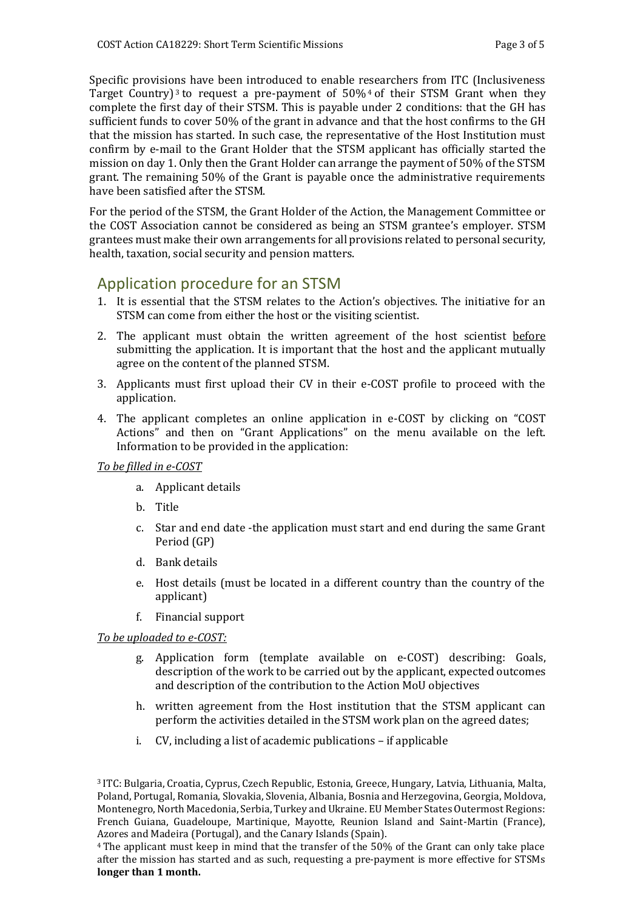Specific provisions have been introduced to enable researchers from ITC (Inclusiveness Target Country)<sup>3</sup> to request a pre-payment of  $50\%$ <sup>4</sup> of their STSM Grant when they complete the first day of their STSM. This is payable under 2 conditions: that the GH has sufficient funds to cover 50% of the grant in advance and that the host confirms to the GH that the mission has started. In such case, the representative of the Host Institution must confirm by e-mail to the Grant Holder that the STSM applicant has officially started the mission on day 1. Only then the Grant Holder can arrange the payment of 50% of the STSM grant. The remaining 50% of the Grant is payable once the administrative requirements have been satisfied after the STSM.

For the period of the STSM, the Grant Holder of the Action, the Management Committee or the COST Association cannot be considered as being an STSM grantee's employer. STSM grantees must make their own arrangements for all provisions related to personal security, health, taxation, social security and pension matters.

## Application procedure for an STSM

- 1. It is essential that the STSM relates to the Action's objectives. The initiative for an STSM can come from either the host or the visiting scientist.
- 2. The applicant must obtain the written agreement of the host scientist before submitting the application. It is important that the host and the applicant mutually agree on the content of the planned STSM.
- 3. Applicants must first upload their CV in their e-COST profile to proceed with the application.
- 4. The applicant completes an online application in e-COST by clicking on "COST Actions" and then on "Grant Applications" on the menu available on the left. Information to be provided in the application:

#### *To be filled in e-COST*

- a. Applicant details
- b. Title
- c. Star and end date -the application must start and end during the same Grant Period (GP)
- d. Bank details
- e. Host details (must be located in a different country than the country of the applicant)
- f. Financial support

#### *To be uploaded to e-COST:*

- g. Application form (template available on e-COST) describing: Goals, description of the work to be carried out by the applicant, expected outcomes and description of the contribution to the Action MoU objectives
- h. written agreement from the Host institution that the STSM applicant can perform the activities detailed in the STSM work plan on the agreed dates;
- i. CV, including a list of academic publications if applicable

<sup>3</sup> ITC: Bulgaria, Croatia, Cyprus, Czech Republic, Estonia, Greece, Hungary, Latvia, Lithuania, Malta, Poland, Portugal, Romania, Slovakia, Slovenia, Albania, Bosnia and Herzegovina, Georgia, Moldova, Montenegro, North Macedonia, Serbia, Turkey and Ukraine. EU Member States Outermost Regions: French Guiana, Guadeloupe, Martinique, Mayotte, Reunion Island and Saint-Martin (France), Azores and Madeira (Portugal), and the Canary Islands (Spain).

<sup>4</sup>The applicant must keep in mind that the transfer of the 50% of the Grant can only take place after the mission has started and as such, requesting a pre-payment is more effective for STSMs **longer than 1 month.**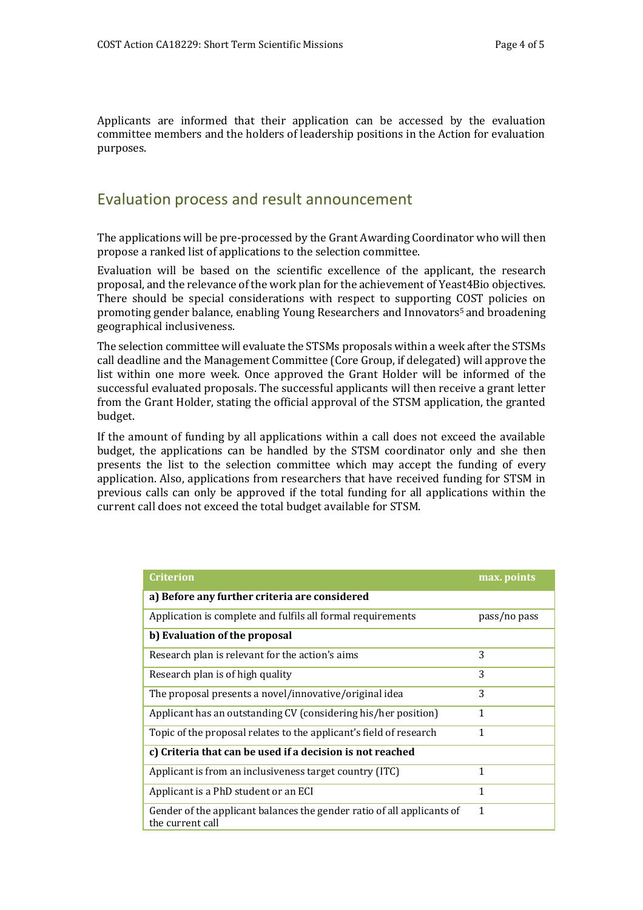Applicants are informed that their application can be accessed by the evaluation committee members and the holders of leadership positions in the Action for evaluation purposes.

## Evaluation process and result announcement

The applications will be pre-processed by the Grant Awarding Coordinator who will then propose a ranked list of applications to the selection committee.

Evaluation will be based on the scientific excellence of the applicant, the research proposal, and the relevance of the work plan for the achievement of Yeast4Bio objectives. There should be special considerations with respect to supporting COST policies on promoting gender balance, enabling Young Researchers and Innovators5 and broadening geographical inclusiveness.

The selection committee will evaluate the STSMs proposals within a week after the STSMs call deadline and the Management Committee (Core Group, if delegated) will approve the list within one more week. Once approved the Grant Holder will be informed of the successful evaluated proposals. The successful applicants will then receive a grant letter from the Grant Holder, stating the official approval of the STSM application, the granted budget.

If the amount of funding by all applications within a call does not exceed the available budget, the applications can be handled by the STSM coordinator only and she then presents the list to the selection committee which may accept the funding of every application. Also, applications from researchers that have received funding for STSM in previous calls can only be approved if the total funding for all applications within the current call does not exceed the total budget available for STSM.

| Criterion                                                                                  | max. points  |
|--------------------------------------------------------------------------------------------|--------------|
| a) Before any further criteria are considered                                              |              |
| Application is complete and fulfils all formal requirements                                | pass/no pass |
| b) Evaluation of the proposal                                                              |              |
| Research plan is relevant for the action's aims                                            | 3            |
| Research plan is of high quality                                                           | 3            |
| The proposal presents a novel/innovative/original idea                                     | 3            |
| Applicant has an outstanding CV (considering his/her position)                             | 1            |
| Topic of the proposal relates to the applicant's field of research                         | 1            |
| c) Criteria that can be used if a decision is not reached                                  |              |
| Applicant is from an inclusiveness target country (ITC)                                    | 1            |
| Applicant is a PhD student or an ECI                                                       | 1            |
| Gender of the applicant balances the gender ratio of all applicants of<br>the current call | 1            |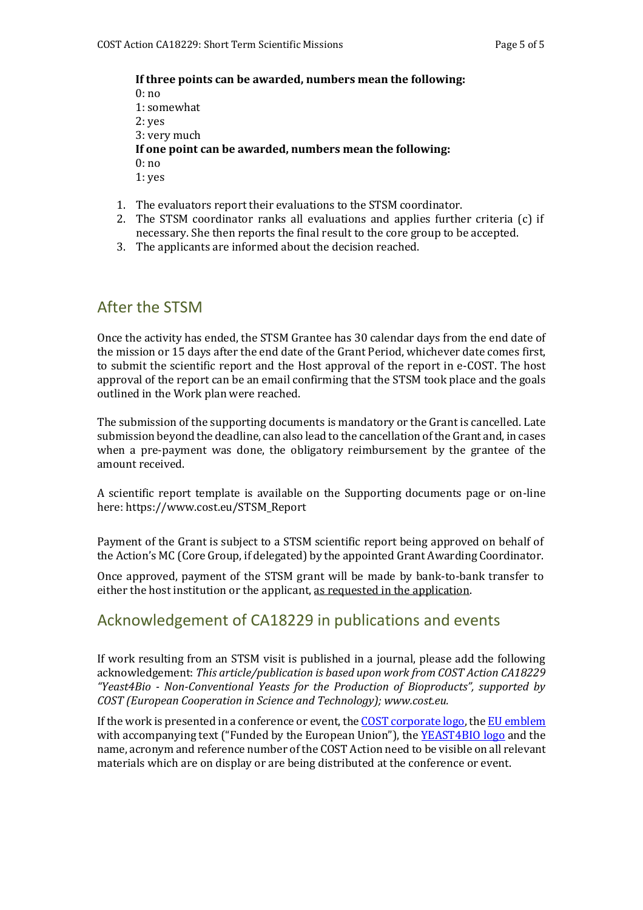#### **If three points can be awarded, numbers mean the following:**  $0: \mathsf{no}$

1: somewhat 2: yes 3: very much **If one point can be awarded, numbers mean the following:** 0: no 1: yes

- 1. The evaluators report their evaluations to the STSM coordinator.
- 2. The STSM coordinator ranks all evaluations and applies further criteria (c) if necessary. She then reports the final result to the core group to be accepted.
- 3. The applicants are informed about the decision reached.

## After the STSM

Once the activity has ended, the STSM Grantee has 30 calendar days from the end date of the mission or 15 days after the end date of the Grant Period, whichever date comes first, to submit the scientific report and the Host approval of the report in e-COST. The host approval of the report can be an email confirming that the STSM took place and the goals outlined in the Work plan were reached.

The submission of the supporting documents is mandatory or the Grant is cancelled. Late submission beyond the deadline, can also lead to the cancellation of the Grant and, in cases when a pre-payment was done, the obligatory reimbursement by the grantee of the amount received.

A scientific report template is available on the Supporting documents page or on-line here: https[://www.cost.eu/STSM\\_Report](http://www.cost.eu/STSM_Report)

Payment of the Grant is subject to a STSM scientific report being approved on behalf of the Action's MC (Core Group, if delegated) by the appointed Grant Awarding Coordinator.

Once approved, payment of the STSM grant will be made by bank-to-bank transfer to either the host institution or the applicant, as requested in the application.

## Acknowledgement of CA18229 in publications and events

If work resulting from an STSM visit is published in a journal, please add the following acknowledgement: *This article/publication is based upon work from COST Action CA18229 "Yeast4Bio - Non-Conventional Yeasts for the Production of Bioproducts", supported by COST (European Cooperation in Science and Technology); [www.cost.eu.](http://www.cost.eu/)*

If the work is presented in a conference or event, the COST [corporate](https://www.cost.eu/about/visual-identity/) logo, the EU [emblem](https://www.cost.eu/about/visual-identity/) with accompanying text ("Funded by the European Union"), the [YEAST4BIO logo](https://yeast4bio.eu/about-us/identity-resources/) and the name, acronym and reference number of the COST Action need to be visible on all relevant materials which are on display or are being distributed at the conference or event.